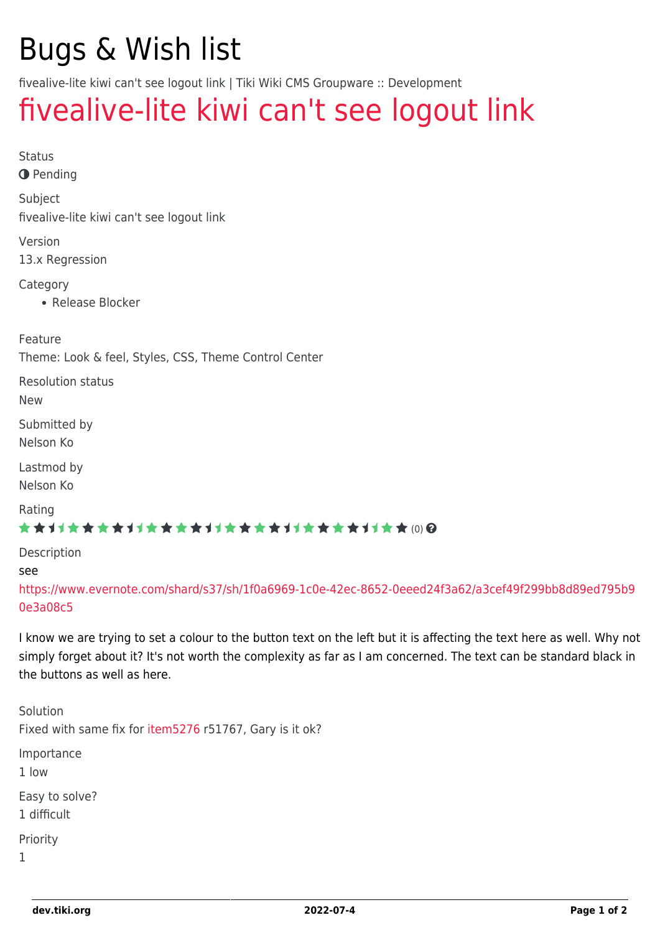## Bugs & Wish list

fivealive-lite kiwi can't see logout link | Tiki Wiki CMS Groupware :: Development

## [fivealive-lite kiwi can't see logout link](https://dev.tiki.org/item5277-fivealive-lite-kiwi-can-t-see-logout-link)

| <b>Status</b><br><b>O</b> Pending                    |                                                                                                                                                                                                                                             |  |
|------------------------------------------------------|---------------------------------------------------------------------------------------------------------------------------------------------------------------------------------------------------------------------------------------------|--|
| Subject<br>fivealive-lite kiwi can't see logout link |                                                                                                                                                                                                                                             |  |
| Version<br>13.x Regression                           |                                                                                                                                                                                                                                             |  |
| Category<br>• Release Blocker                        |                                                                                                                                                                                                                                             |  |
| Feature                                              | Theme: Look & feel, Styles, CSS, Theme Control Center                                                                                                                                                                                       |  |
| <b>Resolution status</b><br><b>New</b>               |                                                                                                                                                                                                                                             |  |
| Submitted by<br>Nelson Ko                            |                                                                                                                                                                                                                                             |  |
| Lastmod by<br>Nelson Ko                              |                                                                                                                                                                                                                                             |  |
| Rating                                               | ★★オオ★★★★オオ★★★★オオ★★★★オオ★★★★オオ★★(0)@                                                                                                                                                                                                          |  |
| Description                                          |                                                                                                                                                                                                                                             |  |
| see<br>0e3a08c5                                      | https://www.evernote.com/shard/s37/sh/1f0a6969-1c0e-42ec-8652-0eeed24f3a62/a3cef49f299bb8d89ed795b9                                                                                                                                         |  |
| the buttons as well as here.                         | I know we are trying to set a colour to the button text on the left but it is affecting the text here as well. Why not<br>simply forget about it? It's not worth the complexity as far as I am concerned. The text can be standard black in |  |
| Solution                                             | Fixed with same fix for item5276 r51767, Gary is it ok?                                                                                                                                                                                     |  |
| Importance<br>1 low                                  |                                                                                                                                                                                                                                             |  |
| Easy to solve?<br>1 difficult                        |                                                                                                                                                                                                                                             |  |

Priority

1